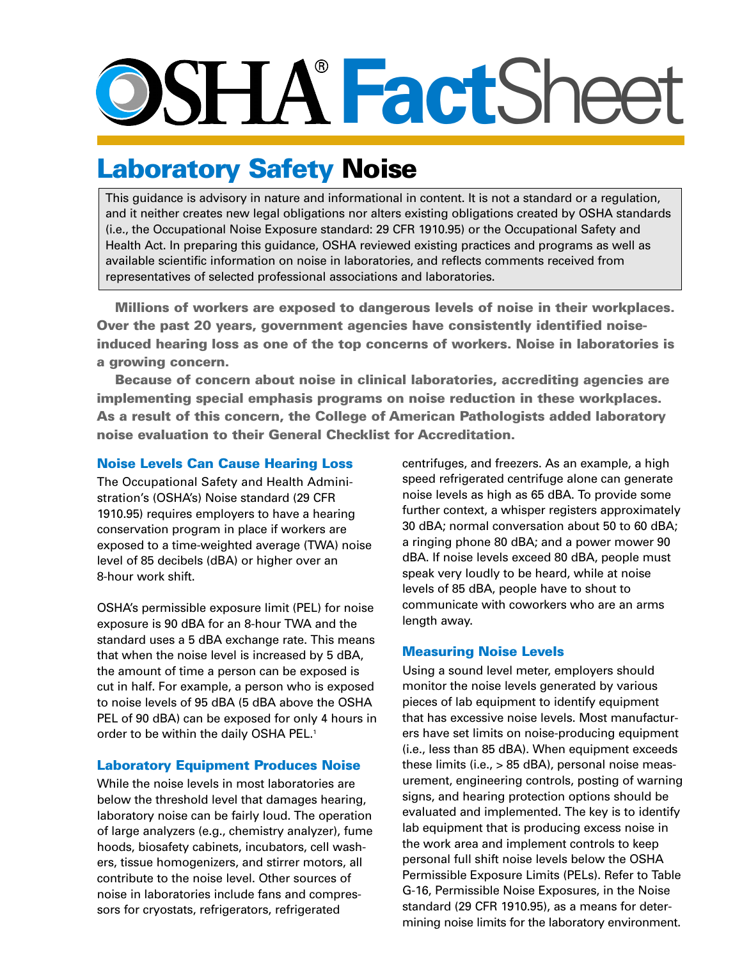# O>SITX **Fact**Sheet

# Laboratory Safety Noise

This guidance is advisory in nature and informational in content. It is not a standard or a regulation, and it neither creates new legal obligations nor alters existing obligations created by OSHA standards (i.e., the Occupational Noise Exposure standard: 29 CFR 1910.95) or the Occupational Safety and Health Act. In preparing this guidance, OSHA reviewed existing practices and programs as well as available scientific information on noise in laboratories, and reflects comments received from representatives of selected professional associations and laboratories.

Millions of workers are exposed to dangerous levels of noise in their workplaces. Over the past 20 years, government agencies have consistently identified noiseinduced hearing loss as one of the top concerns of workers. Noise in laboratories is a growing concern.

Because of concern about noise in clinical laboratories, accrediting agencies are implementing special emphasis programs on noise reduction in these workplaces. As a result of this concern, the College of American Pathologists added laboratory noise evaluation to their General Checklist for Accreditation.

## Noise Levels Can Cause Hearing Loss

The Occupational Safety and Health Administration's (OSHA's) Noise standard (29 CFR 1910.95) requires employers to have a hearing conservation program in place if workers are exposed to a time-weighted average (TWA) noise level of 85 decibels (dBA) or higher over an 8-hour work shift.

OSHA's permissible exposure limit (PEL) for noise exposure is 90 dBA for an 8-hour TWA and the standard uses a 5 dBA exchange rate. This means that when the noise level is increased by 5 dBA, the amount of time a person can be exposed is cut in half. For example, a person who is exposed to noise levels of 95 dBA (5 dBA above the OSHA PEL of 90 dBA) can be exposed for only 4 hours in order to be within the daily OSHA PEL.<sup>1</sup>

## Laboratory Equipment Produces Noise

While the noise levels in most laboratories are below the threshold level that damages hearing, laboratory noise can be fairly loud. The operation of large analyzers (e.g., chemistry analyzer), fume hoods, biosafety cabinets, incubators, cell washers, tissue homogenizers, and stirrer motors, all contribute to the noise level. Other sources of noise in laboratories include fans and compressors for cryostats, refrigerators, refrigerated

centrifuges, and freezers. As an example, a high speed refrigerated centrifuge alone can generate noise levels as high as 65 dBA. To provide some further context, a whisper registers approximately 30 dBA; normal conversation about 50 to 60 dBA; a ringing phone 80 dBA; and a power mower 90 dBA. If noise levels exceed 80 dBA, people must speak very loudly to be heard, while at noise levels of 85 dBA, people have to shout to communicate with coworkers who are an arms length away.

## Measuring Noise Levels

Using a sound level meter, employers should monitor the noise levels generated by various pieces of lab equipment to identify equipment that has excessive noise levels. Most manufacturers have set limits on noise-producing equipment (i.e., less than 85 dBA). When equipment exceeds these limits (i.e., > 85 dBA), personal noise measurement, engineering controls, posting of warning signs, and hearing protection options should be evaluated and implemented. The key is to identify lab equipment that is producing excess noise in the work area and implement controls to keep personal full shift noise levels below the OSHA Permissible Exposure Limits (PELs). Refer to Table G-16, Permissible Noise Exposures, in the Noise standard (29 CFR 1910.95), as a means for determining noise limits for the laboratory environment.